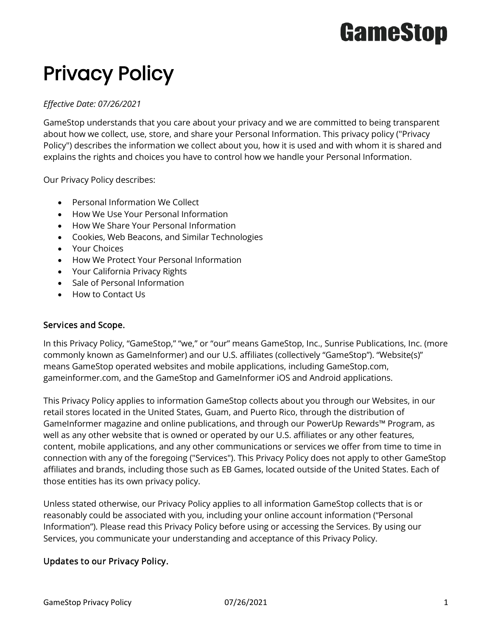## Privacy Policy

### *Effective Date: 07/26/2021*

GameStop understands that you care about your privacy and we are committed to being transparent about how we collect, use, store, and share your Personal Information. This privacy policy ("Privacy Policy") describes the information we collect about you, how it is used and with whom it is shared and explains the rights and choices you have to control how we handle your Personal Information.

Our Privacy Policy describes:

- Personal Information We Collect
- How We Use Your Personal Information
- How We Share Your Personal Information
- Cookies, Web Beacons, and Similar Technologies
- Your Choices
- How We Protect Your Personal Information
- Your California Privacy Rights
- Sale of Personal Information
- How to Contact Us

### Services and Scope.

In this Privacy Policy, "GameStop," "we," or "our" means GameStop, Inc., Sunrise Publications, Inc. (more commonly known as GameInformer) and our U.S. affiliates (collectively "GameStop"). "Website(s)" means GameStop operated websites and mobile applications, including GameStop.com, gameinformer.com, and the GameStop and GameInformer iOS and Android applications.

This Privacy Policy applies to information GameStop collects about you through our Websites, in our retail stores located in the United States, Guam, and Puerto Rico, through the distribution of GameInformer magazine and online publications, and through our PowerUp Rewards™ Program, as well as any other website that is owned or operated by our U.S. affiliates or any other features, content, mobile applications, and any other communications or services we offer from time to time in connection with any of the foregoing ("Services"). This Privacy Policy does not apply to other GameStop affiliates and brands, including those such as EB Games, located outside of the United States. Each of those entities has its own privacy policy.

Unless stated otherwise, our Privacy Policy applies to all information GameStop collects that is or reasonably could be associated with you, including your online account information ("Personal Information"). Please read this Privacy Policy before using or accessing the Services. By using our Services, you communicate your understanding and acceptance of this Privacy Policy.

### Updates to our Privacy Policy.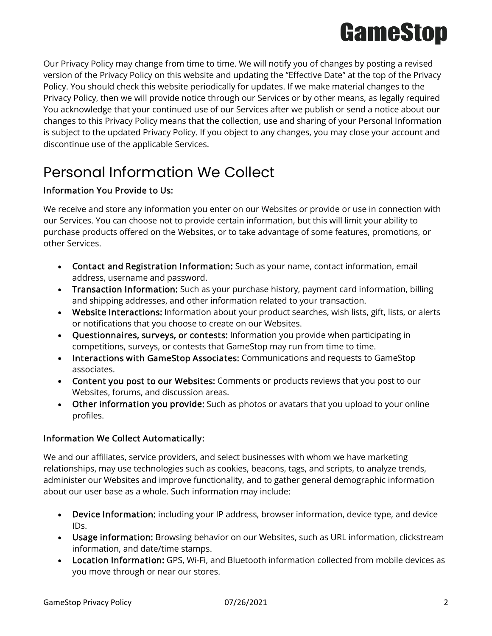

Our Privacy Policy may change from time to time. We will notify you of changes by posting a revised version of the Privacy Policy on this website and updating the "Effective Date" at the top of the Privacy Policy. You should check this website periodically for updates. If we make material changes to the Privacy Policy, then we will provide notice through our Services or by other means, as legally required You acknowledge that your continued use of our Services after we publish or send a notice about our changes to this Privacy Policy means that the collection, use and sharing of your Personal Information is subject to the updated Privacy Policy. If you object to any changes, you may close your account and discontinue use of the applicable Services.

## Personal Information We Collect

### Information You Provide to Us:

We receive and store any information you enter on our Websites or provide or use in connection with our Services. You can choose not to provide certain information, but this will limit your ability to purchase products offered on the Websites, or to take advantage of some features, promotions, or other Services.

- Contact and Registration Information: Such as your name, contact information, email address, username and password.
- Transaction Information: Such as your purchase history, payment card information, billing and shipping addresses, and other information related to your transaction.
- Website Interactions: Information about your product searches, wish lists, gift, lists, or alerts or notifications that you choose to create on our Websites.
- Questionnaires, surveys, or contests: Information you provide when participating in competitions, surveys, or contests that GameStop may run from time to time.
- Interactions with GameStop Associates: Communications and requests to GameStop associates.
- Content you post to our Websites: Comments or products reviews that you post to our Websites, forums, and discussion areas.
- Other information you provide: Such as photos or avatars that you upload to your online profiles.

### Information We Collect Automatically:

We and our affiliates, service providers, and select businesses with whom we have marketing relationships, may use technologies such as cookies, beacons, tags, and scripts, to analyze trends, administer our Websites and improve functionality, and to gather general demographic information about our user base as a whole. Such information may include:

- Device Information: including your IP address, browser information, device type, and device IDs.
- Usage information: Browsing behavior on our Websites, such as URL information, clickstream information, and date/time stamps.
- Location Information: GPS, Wi-Fi, and Bluetooth information collected from mobile devices as you move through or near our stores.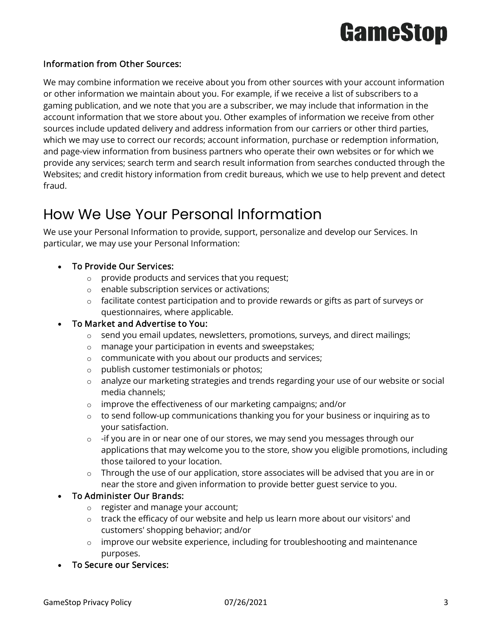### Information from Other Sources:

We may combine information we receive about you from other sources with your account information or other information we maintain about you. For example, if we receive a list of subscribers to a gaming publication, and we note that you are a subscriber, we may include that information in the account information that we store about you. Other examples of information we receive from other sources include updated delivery and address information from our carriers or other third parties, which we may use to correct our records; account information, purchase or redemption information, and page-view information from business partners who operate their own websites or for which we provide any services; search term and search result information from searches conducted through the Websites; and credit history information from credit bureaus, which we use to help prevent and detect fraud.

### How We Use Your Personal Information

We use your Personal Information to provide, support, personalize and develop our Services. In particular, we may use your Personal Information:

- To Provide Our Services:
	- $\circ$  provide products and services that you request;
	- o enable subscription services or activations;
	- o facilitate contest participation and to provide rewards or gifts as part of surveys or questionnaires, where applicable.

### • To Market and Advertise to You:

- $\circ$  send you email updates, newsletters, promotions, surveys, and direct mailings;
- o manage your participation in events and sweepstakes;
- o communicate with you about our products and services;
- o publish customer testimonials or photos;
- $\circ$  analyze our marketing strategies and trends regarding your use of our website or social media channels;
- o improve the effectiveness of our marketing campaigns; and/or
- $\circ$  to send follow-up communications thanking you for your business or inquiring as to your satisfaction.
- $\circ$  -if you are in or near one of our stores, we may send you messages through our applications that may welcome you to the store, show you eligible promotions, including those tailored to your location.
- $\circ$  Through the use of our application, store associates will be advised that you are in or near the store and given information to provide better guest service to you.

### • To Administer Our Brands:

- o register and manage your account;
- $\circ$  track the efficacy of our website and help us learn more about our visitors' and customers' shopping behavior; and/or
- $\circ$  improve our website experience, including for troubleshooting and maintenance purposes.
- To Secure our Services: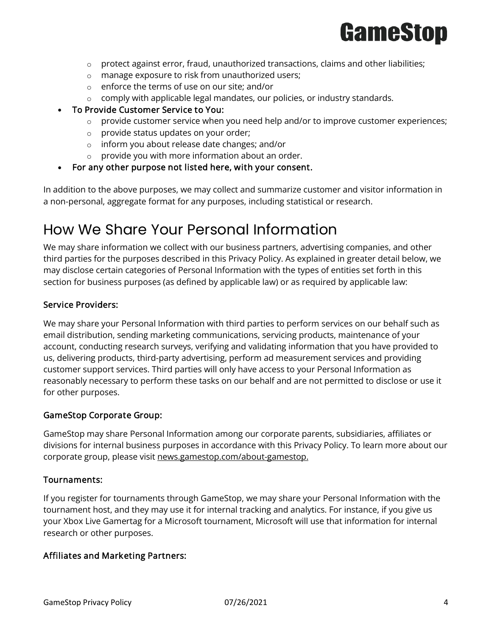

- $\circ$  protect against error, fraud, unauthorized transactions, claims and other liabilities;
- o manage exposure to risk from unauthorized users;
- o enforce the terms of use on our site; and/or
- $\circ$  comply with applicable legal mandates, our policies, or industry standards.
- To Provide Customer Service to You:
	- $\circ$  provide customer service when you need help and/or to improve customer experiences;
	- o provide status updates on your order;
	- o inform you about release date changes; and/or
	- $\circ$  provide you with more information about an order.
- For any other purpose not listed here, with your consent.

In addition to the above purposes, we may collect and summarize customer and visitor information in a non-personal, aggregate format for any purposes, including statistical or research.

### How We Share Your Personal Information

We may share information we collect with our business partners, advertising companies, and other third parties for the purposes described in this Privacy Policy. As explained in greater detail below, we may disclose certain categories of Personal Information with the types of entities set forth in this section for business purposes (as defined by applicable law) or as required by applicable law:

### Service Providers:

We may share your Personal Information with third parties to perform services on our behalf such as email distribution, sending marketing communications, servicing products, maintenance of your account, conducting research surveys, verifying and validating information that you have provided to us, delivering products, third-party advertising, perform ad measurement services and providing customer support services. Third parties will only have access to your Personal Information as reasonably necessary to perform these tasks on our behalf and are not permitted to disclose or use it for other purposes.

### GameStop Corporate Group:

GameStop may share Personal Information among our corporate parents, subsidiaries, affiliates or divisions for internal business purposes in accordance with this Privacy Policy. To learn more about our corporate group, please visit [news.gamestop.com/about-gamestop.](http://news.gamestop.com/about-gamestop)

### Tournaments:

If you register for tournaments through GameStop, we may share your Personal Information with the tournament host, and they may use it for internal tracking and analytics. For instance, if you give us your Xbox Live Gamertag for a Microsoft tournament, Microsoft will use that information for internal research or other purposes.

### Affiliates and Marketing Partners: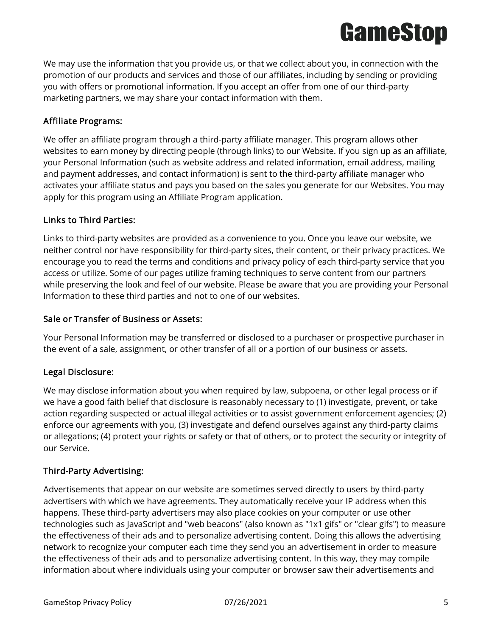

We may use the information that you provide us, or that we collect about you, in connection with the promotion of our products and services and those of our affiliates, including by sending or providing you with offers or promotional information. If you accept an offer from one of our third-party marketing partners, we may share your contact information with them.

### Affiliate Programs:

We offer an affiliate program through a third-party affiliate manager. This program allows other websites to earn money by directing people (through links) to our Website. If you sign up as an affiliate, your Personal Information (such as website address and related information, email address, mailing and payment addresses, and contact information) is sent to the third-party affiliate manager who activates your affiliate status and pays you based on the sales you generate for our Websites. You may apply for this program using an Affiliate Program application.

### Links to Third Parties:

Links to third-party websites are provided as a convenience to you. Once you leave our website, we neither control nor have responsibility for third-party sites, their content, or their privacy practices. We encourage you to read the terms and conditions and privacy policy of each third-party service that you access or utilize. Some of our pages utilize framing techniques to serve content from our partners while preserving the look and feel of our website. Please be aware that you are providing your Personal Information to these third parties and not to one of our websites.

### Sale or Transfer of Business or Assets:

Your Personal Information may be transferred or disclosed to a purchaser or prospective purchaser in the event of a sale, assignment, or other transfer of all or a portion of our business or assets.

### Legal Disclosure:

We may disclose information about you when required by law, subpoena, or other legal process or if we have a good faith belief that disclosure is reasonably necessary to (1) investigate, prevent, or take action regarding suspected or actual illegal activities or to assist government enforcement agencies; (2) enforce our agreements with you, (3) investigate and defend ourselves against any third-party claims or allegations; (4) protect your rights or safety or that of others, or to protect the security or integrity of our Service.

### Third-Party Advertising:

Advertisements that appear on our website are sometimes served directly to users by third-party advertisers with which we have agreements. They automatically receive your IP address when this happens. These third-party advertisers may also place cookies on your computer or use other technologies such as JavaScript and "web beacons" (also known as "1x1 gifs" or "clear gifs") to measure the effectiveness of their ads and to personalize advertising content. Doing this allows the advertising network to recognize your computer each time they send you an advertisement in order to measure the effectiveness of their ads and to personalize advertising content. In this way, they may compile information about where individuals using your computer or browser saw their advertisements and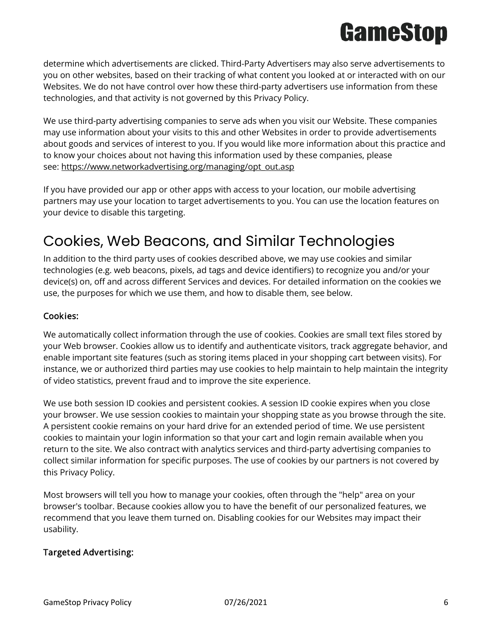determine which advertisements are clicked. Third-Party Advertisers may also serve advertisements to you on other websites, based on their tracking of what content you looked at or interacted with on our Websites. We do not have control over how these third-party advertisers use information from these technologies, and that activity is not governed by this Privacy Policy.

We use third-party advertising companies to serve ads when you visit our Website. These companies may use information about your visits to this and other Websites in order to provide advertisements about goods and services of interest to you. If you would like more information about this practice and to know your choices about not having this information used by these companies, please see: [https://www.networkadvertising.org/managing/opt\\_out.asp](https://www.networkadvertising.org/managing/opt_out.asp)

If you have provided our app or other apps with access to your location, our mobile advertising partners may use your location to target advertisements to you. You can use the location features on your device to disable this targeting.

## Cookies, Web Beacons, and Similar Technologies

In addition to the third party uses of cookies described above, we may use cookies and similar technologies (e.g. web beacons, pixels, ad tags and device identifiers) to recognize you and/or your device(s) on, off and across different Services and devices. For detailed information on the cookies we use, the purposes for which we use them, and how to disable them, see below.

### Cookies:

We automatically collect information through the use of cookies. Cookies are small text files stored by your Web browser. Cookies allow us to identify and authenticate visitors, track aggregate behavior, and enable important site features (such as storing items placed in your shopping cart between visits). For instance, we or authorized third parties may use cookies to help maintain to help maintain the integrity of video statistics, prevent fraud and to improve the site experience.

We use both session ID cookies and persistent cookies. A session ID cookie expires when you close your browser. We use session cookies to maintain your shopping state as you browse through the site. A persistent cookie remains on your hard drive for an extended period of time. We use persistent cookies to maintain your login information so that your cart and login remain available when you return to the site. We also contract with analytics services and third-party advertising companies to collect similar information for specific purposes. The use of cookies by our partners is not covered by this Privacy Policy.

Most browsers will tell you how to manage your cookies, often through the "help" area on your browser's toolbar. Because cookies allow you to have the benefit of our personalized features, we recommend that you leave them turned on. Disabling cookies for our Websites may impact their usability.

### Targeted Advertising: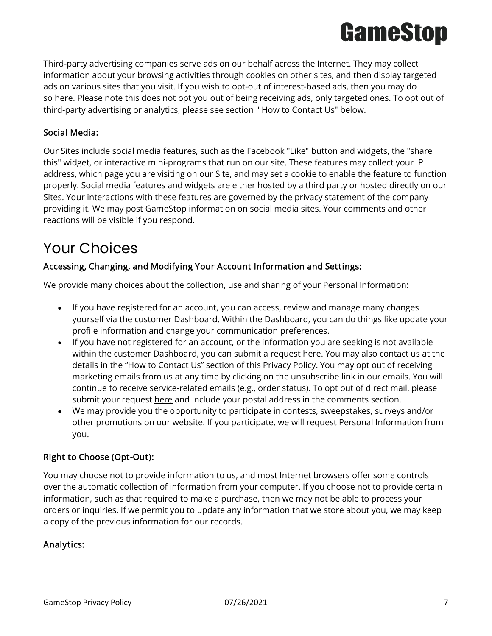Third-party advertising companies serve ads on our behalf across the Internet. They may collect information about your browsing activities through cookies on other sites, and then display targeted ads on various sites that you visit. If you wish to opt-out of interest-based ads, then you may do so [here.](https://optout.networkadvertising.org/#/) Please note this does not opt you out of being receiving ads, only targeted ones. To opt out of third-party advertising or analytics, please see section " How to Contact Us" below.

### Social Media:

Our Sites include social media features, such as the Facebook "Like" button and widgets, the "share this" widget, or interactive mini-programs that run on our site. These features may collect your IP address, which page you are visiting on our Site, and may set a cookie to enable the feature to function properly. Social media features and widgets are either hosted by a third party or hosted directly on our Sites. Your interactions with these features are governed by the privacy statement of the company providing it. We may post GameStop information on social media sites. Your comments and other reactions will be visible if you respond.

### Your Choices

### Accessing, Changing, and Modifying Your Account Information and Settings:

We provide many choices about the collection, use and sharing of your Personal Information:

- If you have registered for an account, you can access, review and manage many changes yourself via the customer Dashboard. Within the Dashboard, you can do things like update your profile information and change your communication preferences.
- If you have not registered for an account, or the information you are seeking is not available within the customer Dashboard, you can submit a request [here.](https://submit-irm.trustarc.com/services/validation/6e5e4be9-1778-46d4-b0e3-03a0e3a9153f) You may also contact us at the details in the "How to Contact Us" section of this Privacy Policy. You may opt out of receiving marketing emails from us at any time by clicking on the unsubscribe link in our emails. You will continue to receive service-related emails (e.g., order status). To opt out of direct mail, please submit your request [here](https://submit-irm.trustarc.com/services/validation/6e5e4be9-1778-46d4-b0e3-03a0e3a9153f) and include your postal address in the comments section.
- We may provide you the opportunity to participate in contests, sweepstakes, surveys and/or other promotions on our website. If you participate, we will request Personal Information from you.

### Right to Choose (Opt-Out):

You may choose not to provide information to us, and most Internet browsers offer some controls over the automatic collection of information from your computer. If you choose not to provide certain information, such as that required to make a purchase, then we may not be able to process your orders or inquiries. If we permit you to update any information that we store about you, we may keep a copy of the previous information for our records.

### Analytics: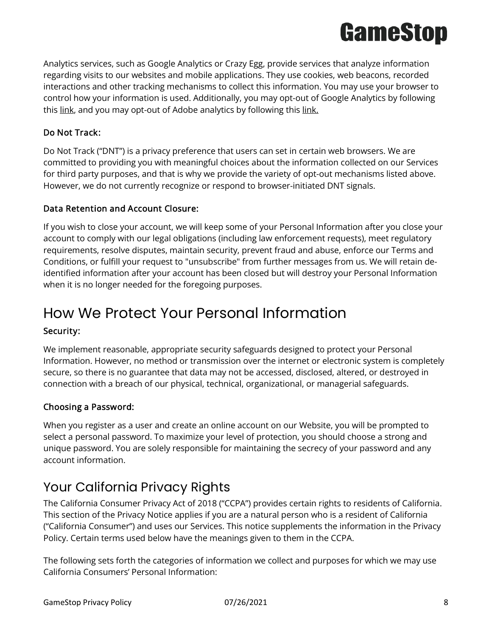

Analytics services, such as Google Analytics or Crazy Egg, provide services that analyze information regarding visits to our websites and mobile applications. They use cookies, web beacons, recorded interactions and other tracking mechanisms to collect this information. You may use your browser to control how your information is used. Additionally, you may opt-out of Google Analytics by following this [link,](https://tools.google.com/dlpage/gaoptout/) and you may opt-out of Adobe analytics by following this [link.](https://www.adobe.com/privacy/marketing-cloud.html#optout)

### Do Not Track:

Do Not Track ("DNT") is a privacy preference that users can set in certain web browsers. We are committed to providing you with meaningful choices about the information collected on our Services for third party purposes, and that is why we provide the variety of opt-out mechanisms listed above. However, we do not currently recognize or respond to browser-initiated DNT signals.

### Data Retention and Account Closure:

If you wish to close your account, we will keep some of your Personal Information after you close your account to comply with our legal obligations (including law enforcement requests), meet regulatory requirements, resolve disputes, maintain security, prevent fraud and abuse, enforce our Terms and Conditions, or fulfill your request to "unsubscribe" from further messages from us. We will retain deidentified information after your account has been closed but will destroy your Personal Information when it is no longer needed for the foregoing purposes.

### How We Protect Your Personal Information

### Security:

We implement reasonable, appropriate security safeguards designed to protect your Personal Information. However, no method or transmission over the internet or electronic system is completely secure, so there is no guarantee that data may not be accessed, disclosed, altered, or destroyed in connection with a breach of our physical, technical, organizational, or managerial safeguards.

### Choosing a Password:

When you register as a user and create an online account on our Website, you will be prompted to select a personal password. To maximize your level of protection, you should choose a strong and unique password. You are solely responsible for maintaining the secrecy of your password and any account information.

### Your California Privacy Rights

The California Consumer Privacy Act of 2018 ("CCPA") provides certain rights to residents of California. This section of the Privacy Notice applies if you are a natural person who is a resident of California ("California Consumer") and uses our Services. This notice supplements the information in the Privacy Policy. Certain terms used below have the meanings given to them in the CCPA.

The following sets forth the categories of information we collect and purposes for which we may use California Consumers' Personal Information: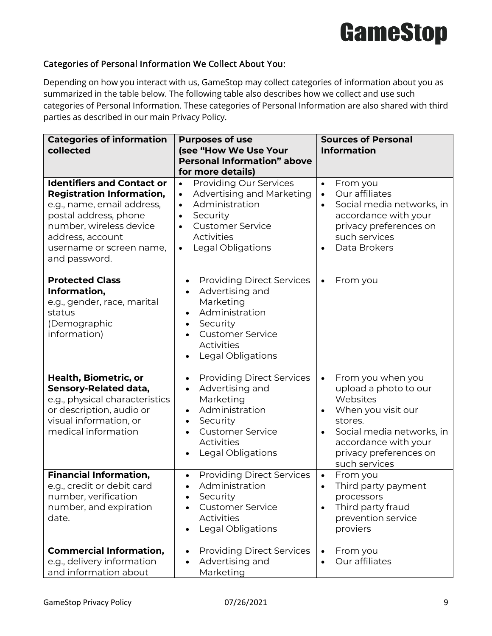### Categories of Personal Information We Collect About You:

Depending on how you interact with us, GameStop may collect categories of information about you as summarized in the table below. The following table also describes how we collect and use such categories of Personal Information. These categories of Personal Information are also shared with third parties as described in our main Privacy Policy.

| <b>Categories of information</b><br>collected                                                                                                                                                                            | <b>Purposes of use</b><br>(see "How We Use Your<br><b>Personal Information" above</b><br>for more details)                                                                                                                           | <b>Sources of Personal</b><br><b>Information</b>                                                                                                                                                                               |  |  |
|--------------------------------------------------------------------------------------------------------------------------------------------------------------------------------------------------------------------------|--------------------------------------------------------------------------------------------------------------------------------------------------------------------------------------------------------------------------------------|--------------------------------------------------------------------------------------------------------------------------------------------------------------------------------------------------------------------------------|--|--|
| <b>Identifiers and Contact or</b><br><b>Registration Information,</b><br>e.g., name, email address,<br>postal address, phone<br>number, wireless device<br>address, account<br>username or screen name,<br>and password. | <b>Providing Our Services</b><br>$\bullet$<br>Advertising and Marketing<br>$\bullet$<br>Administration<br>$\bullet$<br>Security<br>$\bullet$<br><b>Customer Service</b><br>$\bullet$<br>Activities<br>Legal Obligations<br>$\bullet$ | From you<br>$\bullet$<br>Our affiliates<br>$\bullet$<br>Social media networks, in<br>accordance with your<br>privacy preferences on<br>such services<br>Data Brokers<br>$\bullet$                                              |  |  |
| <b>Protected Class</b><br>Information,<br>e.g., gender, race, marital<br>status<br>(Demographic<br>information)                                                                                                          | <b>Providing Direct Services</b><br>$\bullet$<br>Advertising and<br>Marketing<br>Administration<br>Security<br><b>Customer Service</b><br>Activities<br>Legal Obligations                                                            | From you<br>$\bullet$                                                                                                                                                                                                          |  |  |
| Health, Biometric, or<br>Sensory-Related data,<br>e.g., physical characteristics<br>or description, audio or<br>visual information, or<br>medical information                                                            | <b>Providing Direct Services</b><br>$\bullet$<br>Advertising and<br>Marketing<br>Administration<br>Security<br><b>Customer Service</b><br><b>Activities</b><br>Legal Obligations                                                     | From you when you<br>$\bullet$<br>upload a photo to our<br>Websites<br>When you visit our<br>$\bullet$<br>stores.<br>Social media networks, in<br>$\bullet$<br>accordance with your<br>privacy preferences on<br>such services |  |  |
| <b>Financial Information,</b><br>e.g., credit or debit card<br>number, verification<br>number, and expiration<br>date.                                                                                                   | <b>Providing Direct Services</b><br>Administration<br>$\bullet$<br>Security<br><b>Customer Service</b><br>Activities<br>Legal Obligations                                                                                            | From you<br>$\bullet$<br>Third party payment<br>$\bullet$<br>processors<br>Third party fraud<br>prevention service<br>proviers                                                                                                 |  |  |
| <b>Commercial Information,</b><br>e.g., delivery information<br>and information about                                                                                                                                    | <b>Providing Direct Services</b><br>Advertising and<br>Marketing                                                                                                                                                                     | From you<br>$\bullet$<br>Our affiliates<br>$\bullet$                                                                                                                                                                           |  |  |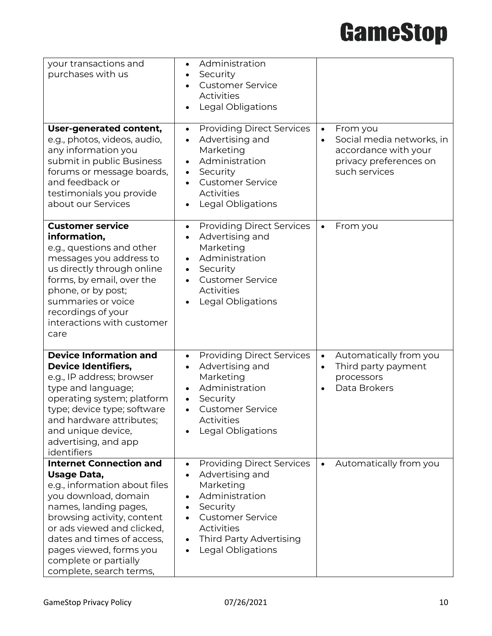| your transactions and<br>purchases with us                                                                                                                                                                                                                                                               | Administration<br>Security<br><b>Customer Service</b><br>Activities<br><b>Legal Obligations</b>                                                                                                                   |                                                                                                                                    |
|----------------------------------------------------------------------------------------------------------------------------------------------------------------------------------------------------------------------------------------------------------------------------------------------------------|-------------------------------------------------------------------------------------------------------------------------------------------------------------------------------------------------------------------|------------------------------------------------------------------------------------------------------------------------------------|
| User-generated content,<br>e.g., photos, videos, audio,<br>any information you<br>submit in public Business<br>forums or message boards,<br>and feedback or<br>testimonials you provide<br>about our Services                                                                                            | <b>Providing Direct Services</b><br>$\bullet$<br>Advertising and<br>Marketing<br>Administration<br>Security<br><b>Customer Service</b><br><b>Activities</b><br>Legal Obligations                                  | From you<br>$\bullet$<br>Social media networks, in<br>$\bullet$<br>accordance with your<br>privacy preferences on<br>such services |
| <b>Customer service</b><br>information,<br>e.g., questions and other<br>messages you address to<br>us directly through online<br>forms, by email, over the<br>phone, or by post;<br>summaries or voice<br>recordings of your<br>interactions with customer<br>care                                       | <b>Providing Direct Services</b><br>$\bullet$<br>Advertising and<br>Marketing<br>Administration<br>Security<br>$\bullet$<br><b>Customer Service</b><br><b>Activities</b><br>Legal Obligations                     | From you<br>$\bullet$                                                                                                              |
| <b>Device Information and</b><br><b>Device Identifiers,</b><br>e.g., IP address; browser<br>type and language;<br>operating system; platform<br>type; device type; software<br>and hardware attributes;<br>and unique device,<br>advertising, and app<br>identifiers                                     | <b>Providing Direct Services</b><br>$\bullet$<br>Advertising and<br>Marketing<br>Administration<br>Security<br><b>Customer Service</b><br>$\bullet$<br><b>Activities</b><br>Legal Obligations                     | Automatically from you<br>$\bullet$<br>Third party payment<br>$\bullet$<br>processors<br>Data Brokers<br>$\bullet$                 |
| <b>Internet Connection and</b><br>Usage Data,<br>e.g., information about files<br>you download, domain<br>names, landing pages,<br>browsing activity, content<br>or ads viewed and clicked,<br>dates and times of access,<br>pages viewed, forms you<br>complete or partially<br>complete, search terms, | <b>Providing Direct Services</b><br>$\bullet$<br>Advertising and<br>Marketing<br>Administration<br>$\bullet$<br>Security<br><b>Customer Service</b><br>Activities<br>Third Party Advertising<br>Legal Obligations | Automatically from you<br>$\bullet$                                                                                                |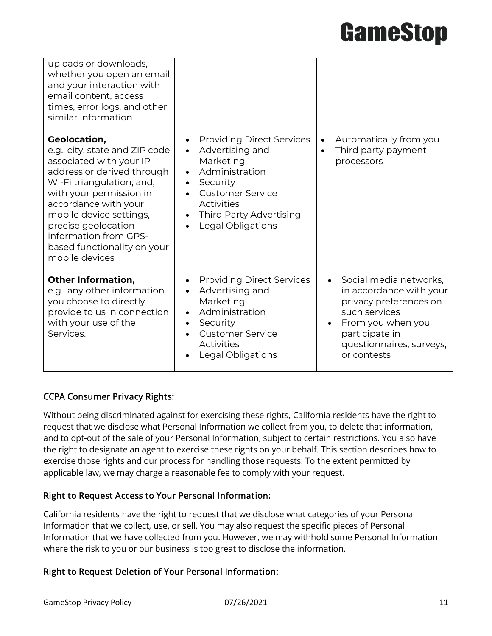| uploads or downloads,<br>whether you open an email<br>and your interaction with<br>email content, access<br>times, error logs, and other<br>similar information                                                                                                                                                     |                                                                                                                                                                                                                                       |                                                                                                                                                                                             |
|---------------------------------------------------------------------------------------------------------------------------------------------------------------------------------------------------------------------------------------------------------------------------------------------------------------------|---------------------------------------------------------------------------------------------------------------------------------------------------------------------------------------------------------------------------------------|---------------------------------------------------------------------------------------------------------------------------------------------------------------------------------------------|
| Geolocation,<br>e.g., city, state and ZIP code<br>associated with your IP<br>address or derived through<br>Wi-Fi triangulation; and,<br>with your permission in<br>accordance with your<br>mobile device settings,<br>precise geolocation<br>information from GPS-<br>based functionality on your<br>mobile devices | <b>Providing Direct Services</b><br>$\bullet$<br>Advertising and<br>$\bullet$<br>Marketing<br>Administration<br>Security<br>$\bullet$<br><b>Customer Service</b><br>Activities<br><b>Third Party Advertising</b><br>Legal Obligations | Automatically from you<br>$\bullet$<br>Third party payment<br>processors                                                                                                                    |
| <b>Other Information,</b><br>e.g., any other information<br>you choose to directly<br>provide to us in connection<br>with your use of the<br>Services.                                                                                                                                                              | <b>Providing Direct Services</b><br>$\bullet$<br>Advertising and<br>Marketing<br>Administration<br>$\bullet$<br>Security<br><b>Customer Service</b><br><b>Activities</b><br>Legal Obligations                                         | Social media networks,<br>$\bullet$<br>in accordance with your<br>privacy preferences on<br>such services<br>From you when you<br>participate in<br>questionnaires, surveys,<br>or contests |

### CCPA Consumer Privacy Rights:

Without being discriminated against for exercising these rights, California residents have the right to request that we disclose what Personal Information we collect from you, to delete that information, and to opt-out of the sale of your Personal Information, subject to certain restrictions. You also have the right to designate an agent to exercise these rights on your behalf. This section describes how to exercise those rights and our process for handling those requests. To the extent permitted by applicable law, we may charge a reasonable fee to comply with your request.

### Right to Request Access to Your Personal Information:

California residents have the right to request that we disclose what categories of your Personal Information that we collect, use, or sell. You may also request the specific pieces of Personal Information that we have collected from you. However, we may withhold some Personal Information where the risk to you or our business is too great to disclose the information.

### Right to Request Deletion of Your Personal Information: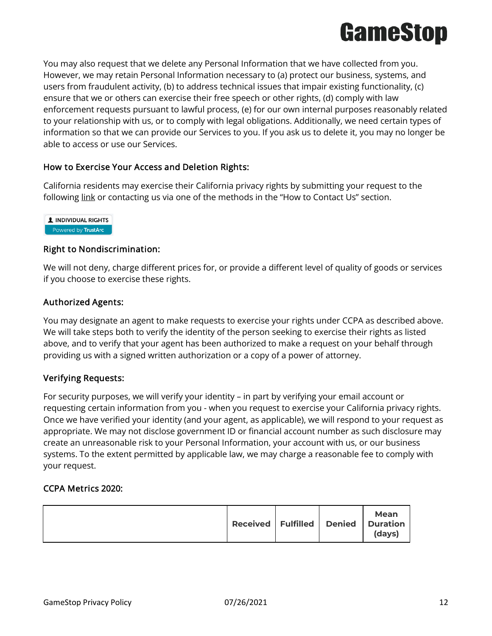

You may also request that we delete any Personal Information that we have collected from you. However, we may retain Personal Information necessary to (a) protect our business, systems, and users from fraudulent activity, (b) to address technical issues that impair existing functionality, (c) ensure that we or others can exercise their free speech or other rights, (d) comply with law enforcement requests pursuant to lawful process, (e) for our own internal purposes reasonably related to your relationship with us, or to comply with legal obligations. Additionally, we need certain types of information so that we can provide our Services to you. If you ask us to delete it, you may no longer be able to access or use our Services.

### How to Exercise Your Access and Deletion Rights:

California residents may exercise their California privacy rights by submitting your request to the following [link](https://submit-irm.trustarc.com/services/validation/6e5e4be9-1778-46d4-b0e3-03a0e3a9153f) or contacting us via one of the methods in the "How to Contact Us" section.



### Right to Nondiscrimination:

We will not deny, charge different prices for, or provide a different level of quality of goods or services if you choose to exercise these rights.

### Authorized Agents:

You may designate an agent to make requests to exercise your rights under CCPA as described above. We will take steps both to verify the identity of the person seeking to exercise their rights as listed above, and to verify that your agent has been authorized to make a request on your behalf through providing us with a signed written authorization or a copy of a power of attorney.

### Verifying Requests:

For security purposes, we will verify your identity – in part by verifying your email account or requesting certain information from you - when you request to exercise your California privacy rights. Once we have verified your identity (and your agent, as applicable), we will respond to your request as appropriate. We may not disclose government ID or financial account number as such disclosure may create an unreasonable risk to your Personal Information, your account with us, or our business systems. To the extent permitted by applicable law, we may charge a reasonable fee to comply with your request.

### CCPA Metrics 2020:

|  | Received Fulfilled |  |  | Mean<br>Denied Duration<br>(days) |
|--|--------------------|--|--|-----------------------------------|
|--|--------------------|--|--|-----------------------------------|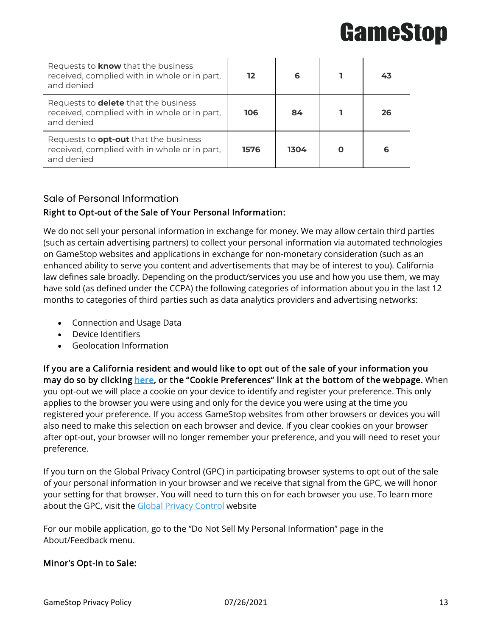| Requests to <b>know</b> that the business<br>received, complied with in whole or in part,<br>and denied    | 12   | 6    | 43 |
|------------------------------------------------------------------------------------------------------------|------|------|----|
| Requests to <b>delete</b> that the business<br>received, complied with in whole or in part,<br>and denied  | 106  | 84   | 26 |
| Requests to <b>opt-out</b> that the business<br>received, complied with in whole or in part,<br>and denied | 1576 | 1304 | 6  |

### Sale of Personal Information

### Right to Opt-out of the Sale of Your Personal Information:

We do not sell your personal information in exchange for money. We may allow certain third parties (such as certain advertising partners) to collect your personal information via automated technologies on GameStop websites and applications in exchange for non-monetary consideration (such as an enhanced ability to serve you content and advertisements that may be of interest to you). California law defines sale broadly. Depending on the product/services you use and how you use them, we may have sold (as defined under the CCPA) the following categories of information about you in the last 12 months to categories of third parties such as data analytics providers and advertising networks:

- Connection and Usage Data
- Device Identifiers
- Geolocation Information

If you are a California resident and would like to opt out of the sale of your information you may do so by clicking [here,](https://www.gamestop.com/PrivacyPolicy.html) or the "Cookie Preferences" link at the bottom of the webpage. When you opt-out we will place a cookie on your device to identify and register your preference. This only applies to the browser you were using and only for the device you were using at the time you registered your preference. If you access GameStop websites from other browsers or devices you will also need to make this selection on each browser and device. If you clear cookies on your browser after opt-out, your browser will no longer remember your preference, and you will need to reset your preference.

If you turn on the Global Privacy Control (GPC) in participating browser systems to opt out of the sale of your personal information in your browser and we receive that signal from the GPC, we will honor your setting for that browser. You will need to turn this on for each browser you use. To learn more about the GPC, visit the **[Global Privacy Control](http://www.globalprivacycontrol.org/)** website

For our mobile application, go to the "Do Not Sell My Personal Information" page in the About/Feedback menu.

### Minor's Opt-In to Sale: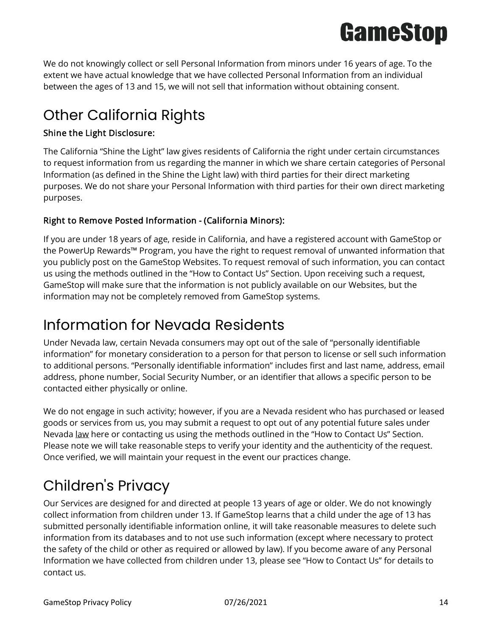

We do not knowingly collect or sell Personal Information from minors under 16 years of age. To the extent we have actual knowledge that we have collected Personal Information from an individual between the ages of 13 and 15, we will not sell that information without obtaining consent.

## Other California Rights

### Shine the Light Disclosure:

The California "Shine the Light" law gives residents of California the right under certain circumstances to request information from us regarding the manner in which we share certain categories of Personal Information (as defined in the Shine the Light law) with third parties for their direct marketing purposes. We do not share your Personal Information with third parties for their own direct marketing purposes.

### Right to Remove Posted Information - (California Minors):

If you are under 18 years of age, reside in California, and have a registered account with GameStop or the PowerUp Rewards™ Program, you have the right to request removal of unwanted information that you publicly post on the GameStop Websites. To request removal of such information, you can contact us using the methods outlined in the "How to Contact Us" Section. Upon receiving such a request, GameStop will make sure that the information is not publicly available on our Websites, but the information may not be completely removed from GameStop systems.

### Information for Nevada Residents

Under Nevada law, certain Nevada consumers may opt out of the sale of "personally identifiable information" for monetary consideration to a person for that person to license or sell such information to additional persons. "Personally identifiable information" includes first and last name, address, email address, phone number, Social Security Number, or an identifier that allows a specific person to be contacted either physically or online.

We do not engage in such activity; however, if you are a Nevada resident who has purchased or leased goods or services from us, you may submit a request to opt out of any potential future sales under Nevada [law](https://submit-irm.trustarc.com/services/validation/ad5d2350-5877-4a6d-b048-67cf7995f8a9) here or contacting us using the methods outlined in the "How to Contact Us" Section. Please note we will take reasonable steps to verify your identity and the authenticity of the request. Once verified, we will maintain your request in the event our practices change.

## Children's Privacy

Our Services are designed for and directed at people 13 years of age or older. We do not knowingly collect information from children under 13. If GameStop learns that a child under the age of 13 has submitted personally identifiable information online, it will take reasonable measures to delete such information from its databases and to not use such information (except where necessary to protect the safety of the child or other as required or allowed by law). If you become aware of any Personal Information we have collected from children under 13, please see "How to Contact Us" for details to contact us.